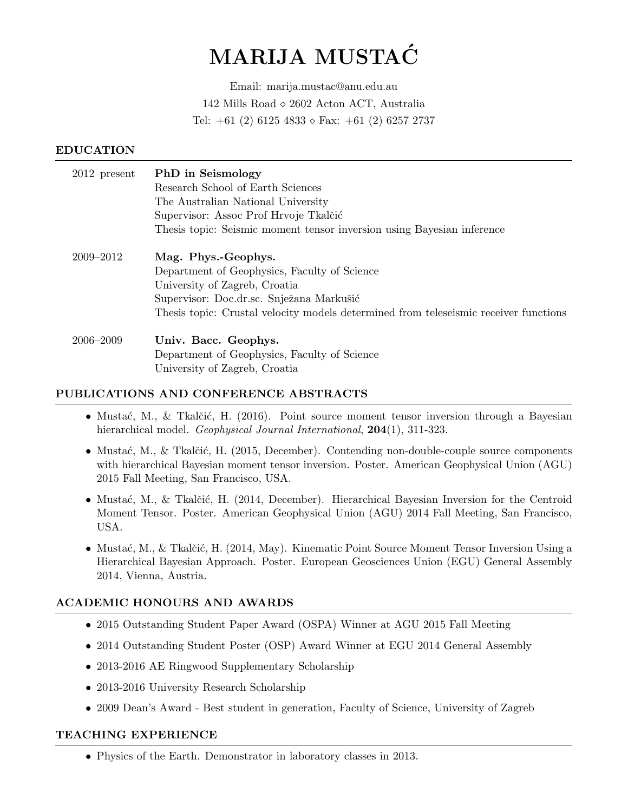# MARIJA MUSTAC´

Email: marija.mustac@anu.edu.au 142 Mills Road  $\diamond$  2602 Acton ACT, Australia Tel:  $+61$  (2) 6125 4833  $\circ$  Fax:  $+61$  (2) 6257 2737

#### EDUCATION

| $2012$ -present | <b>PhD</b> in Seismology                                                             |
|-----------------|--------------------------------------------------------------------------------------|
|                 | Research School of Earth Sciences                                                    |
|                 | The Australian National University                                                   |
|                 | Supervisor: Assoc Prof Hrvoje Tkalčić                                                |
|                 | Thesis topic: Seismic moment tensor inversion using Bayesian inference               |
|                 |                                                                                      |
| 2009-2012       | Mag. Phys.-Geophys.                                                                  |
|                 | Department of Geophysics, Faculty of Science                                         |
|                 | University of Zagreb, Croatia                                                        |
|                 | Supervisor: Doc.dr.sc. Snježana Markušić                                             |
|                 | Thesis topic: Crustal velocity models determined from teleseismic receiver functions |
| $2006 - 2009$   | Univ. Bacc. Geophys.                                                                 |
|                 | Department of Geophysics, Faculty of Science                                         |
|                 | University of Zagreb, Croatia                                                        |
|                 |                                                                                      |

#### PUBLICATIONS AND CONFERENCE ABSTRACTS

- Mustać, M., & Tkalčić, H. (2016). Point source moment tensor inversion through a Bayesian hierarchical model. *Geophysical Journal International*, **204**(1), 311-323.
- Mustać, M., & Tkalčić, H. (2015, December). Contending non-double-couple source components with hierarchical Bayesian moment tensor inversion. Poster. American Geophysical Union (AGU) 2015 Fall Meeting, San Francisco, USA.
- Mustać, M., & Tkalčić, H. (2014, December). Hierarchical Bayesian Inversion for the Centroid Moment Tensor. Poster. American Geophysical Union (AGU) 2014 Fall Meeting, San Francisco, USA.
- Mustać, M., & Tkalčić, H. (2014, May). Kinematic Point Source Moment Tensor Inversion Using a Hierarchical Bayesian Approach. Poster. European Geosciences Union (EGU) General Assembly 2014, Vienna, Austria.

## ACADEMIC HONOURS AND AWARDS

- 2015 Outstanding Student Paper Award (OSPA) Winner at AGU 2015 Fall Meeting
- 2014 Outstanding Student Poster (OSP) Award Winner at EGU 2014 General Assembly
- 2013-2016 AE Ringwood Supplementary Scholarship
- 2013-2016 University Research Scholarship
- 2009 Dean's Award Best student in generation, Faculty of Science, University of Zagreb

#### TEACHING EXPERIENCE

• Physics of the Earth. Demonstrator in laboratory classes in 2013.